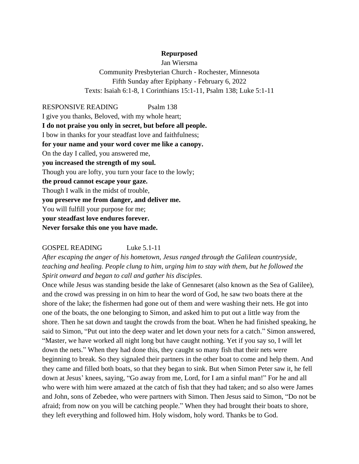## **Repurposed**

Jan Wiersma Community Presbyterian Church - Rochester, Minnesota Fifth Sunday after Epiphany - February 6, 2022 Texts: Isaiah 6:1-8, 1 Corinthians 15:1-11, Psalm 138; Luke 5:1-11

RESPONSIVE READING Psalm 138 I give you thanks, Beloved, with my whole heart; **I do not praise you only in secret, but before all people.** I bow in thanks for your steadfast love and faithfulness; **for your name and your word cover me like a canopy.** On the day I called, you answered me, **you increased the strength of my soul.** Though you are lofty, you turn your face to the lowly; **the proud cannot escape your gaze.** Though I walk in the midst of trouble, **you preserve me from danger, and deliver me.** You will fulfill your purpose for me; **your steadfast love endures forever. Never forsake this one you have made.**

## GOSPEL READING Luke 5.1-11

*After escaping the anger of his hometown, Jesus ranged through the Galilean countryside, teaching and healing. People clung to him, urging him to stay with them, but he followed the Spirit onward and began to call and gather his disciples.*

Once while Jesus was standing beside the lake of Gennesaret (also known as the Sea of Galilee), and the crowd was pressing in on him to hear the word of God, he saw two boats there at the shore of the lake; the fishermen had gone out of them and were washing their nets. He got into one of the boats, the one belonging to Simon, and asked him to put out a little way from the shore. Then he sat down and taught the crowds from the boat. When he had finished speaking, he said to Simon, "Put out into the deep water and let down your nets for a catch." Simon answered, "Master, we have worked all night long but have caught nothing. Yet if you say so, I will let down the nets." When they had done this, they caught so many fish that their nets were beginning to break. So they signaled their partners in the other boat to come and help them. And they came and filled both boats, so that they began to sink. But when Simon Peter saw it, he fell down at Jesus' knees, saying, "Go away from me, Lord, for I am a sinful man!" For he and all who were with him were amazed at the catch of fish that they had taken; and so also were James and John, sons of Zebedee, who were partners with Simon. Then Jesus said to Simon, "Do not be afraid; from now on you will be catching people." When they had brought their boats to shore, they left everything and followed him. Holy wisdom, holy word. Thanks be to God.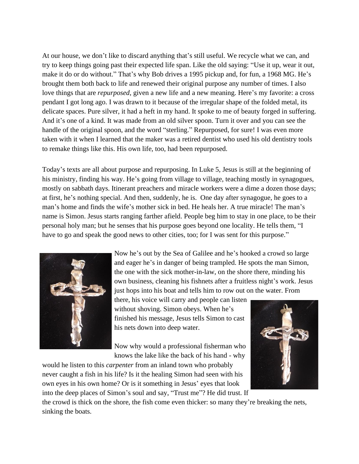At our house, we don't like to discard anything that's still useful. We recycle what we can, and try to keep things going past their expected life span. Like the old saying: "Use it up, wear it out, make it do or do without." That's why Bob drives a 1995 pickup and, for fun, a 1968 MG. He's brought them both back to life and renewed their original purpose any number of times. I also love things that are *repurposed*, given a new life and a new meaning. Here's my favorite: a cross pendant I got long ago. I was drawn to it because of the irregular shape of the folded metal, its delicate spaces. Pure silver, it had a heft in my hand. It spoke to me of beauty forged in suffering. And it's one of a kind. It was made from an old silver spoon. Turn it over and you can see the handle of the original spoon, and the word "sterling." Repurposed, for sure! I was even more taken with it when I learned that the maker was a retired dentist who used his old dentistry tools to remake things like this. His own life, too, had been repurposed.

Today's texts are all about purpose and repurposing. In Luke 5, Jesus is still at the beginning of his ministry, finding his way. He's going from village to village, teaching mostly in synagogues, mostly on sabbath days. Itinerant preachers and miracle workers were a dime a dozen those days; at first, he's nothing special. And then, suddenly, he is. One day after synagogue, he goes to a man's home and finds the wife's mother sick in bed. He heals her. A true miracle! The man's name is Simon. Jesus starts ranging farther afield. People beg him to stay in one place, to be their personal holy man; but he senses that his purpose goes beyond one locality. He tells them, "I have to go and speak the good news to other cities, too; for I was sent for this purpose."



Now he's out by the Sea of Galilee and he's hooked a crowd so large and eager he's in danger of being trampled. He spots the man Simon, the one with the sick mother-in-law, on the shore there, minding his own business, cleaning his fishnets after a fruitless night's work. Jesus just hops into his boat and tells him to row out on the water. From

there, his voice will carry and people can listen without shoving. Simon obeys. When he's finished his message, Jesus tells Simon to cast his nets down into deep water.

Now why would a professional fisherman who knows the lake like the back of his hand - why

would he listen to this *carpenter* from an inland town who probably never caught a fish in his life? Is it the healing Simon had seen with his own eyes in his own home? Or is it something in Jesus' eyes that look into the deep places of Simon's soul and say, "Trust me"? He did trust. If



the crowd is thick on the shore, the fish come even thicker: so many they're breaking the nets, sinking the boats.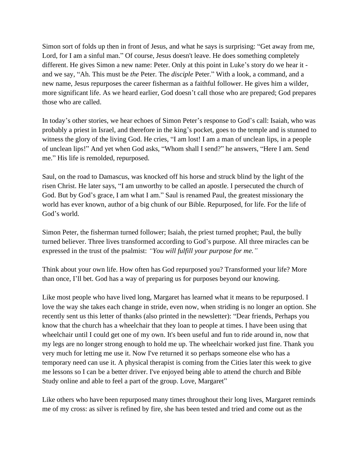Simon sort of folds up then in front of Jesus, and what he says is surprising: "Get away from me, Lord, for I am a sinful man." Of course, Jesus doesn't leave. He does something completely different. He gives Simon a new name: Peter. Only at this point in Luke's story do we hear it and we say, "Ah. This must be *the* Peter. The *disciple* Peter." With a look, a command, and a new name, Jesus repurposes the career fisherman as a faithful follower. He gives him a wilder, more significant life. As we heard earlier, God doesn't call those who are prepared; God prepares those who are called.

In today's other stories, we hear echoes of Simon Peter's response to God's call: Isaiah, who was probably a priest in Israel, and therefore in the king's pocket, goes to the temple and is stunned to witness the glory of the living God. He cries, "I am lost! I am a man of unclean lips, in a people of unclean lips!" And yet when God asks, "Whom shall I send?" he answers, "Here I am. Send me." His life is remolded, repurposed.

Saul, on the road to Damascus, was knocked off his horse and struck blind by the light of the risen Christ. He later says, "I am unworthy to be called an apostle. I persecuted the church of God. But by God's grace, I am what I am." Saul is renamed Paul, the greatest missionary the world has ever known, author of a big chunk of our Bible. Repurposed, for life. For the life of God's world.

Simon Peter, the fisherman turned follower; Isaiah, the priest turned prophet; Paul, the bully turned believer. Three lives transformed according to God's purpose. All three miracles can be expressed in the trust of the psalmist: *"You will fulfill your purpose for me."*

Think about your own life. How often has God repurposed you? Transformed your life? More than once, I'll bet. God has a way of preparing us for purposes beyond our knowing.

Like most people who have lived long, Margaret has learned what it means to be repurposed. I love the way she takes each change in stride, even now, when striding is no longer an option. She recently sent us this letter of thanks (also printed in the newsletter): "Dear friends, Perhaps you know that the church has a wheelchair that they loan to people at times. I have been using that wheelchair until I could get one of my own. It's been useful and fun to ride around in, now that my legs are no longer strong enough to hold me up. The wheelchair worked just fine. Thank you very much for letting me use it. Now I've returned it so perhaps someone else who has a temporary need can use it. A physical therapist is coming from the Cities later this week to give me lessons so I can be a better driver. I've enjoyed being able to attend the church and Bible Study online and able to feel a part of the group. Love, Margaret"

Like others who have been repurposed many times throughout their long lives, Margaret reminds me of my cross: as silver is refined by fire, she has been tested and tried and come out as the